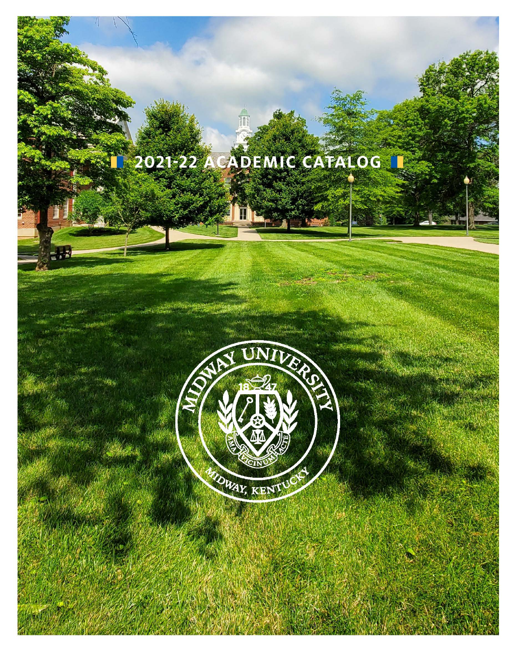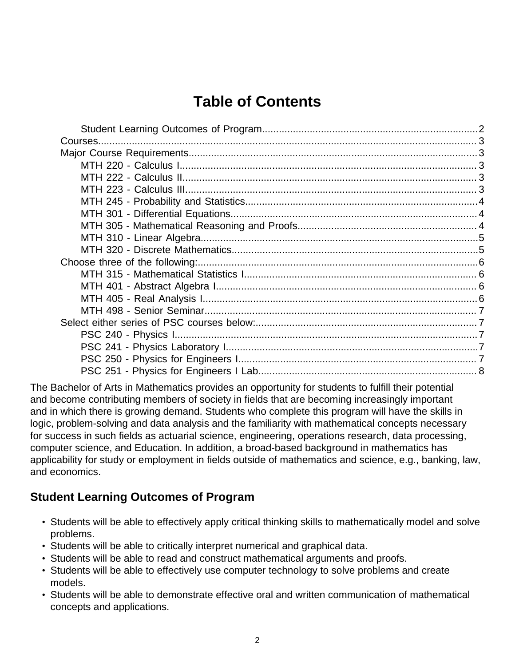# **Table of Contents**

The Bachelor of Arts in Mathematics provides an opportunity for students to fulfill their potential and become contributing members of society in fields that are becoming increasingly important and in which there is growing demand. Students who complete this program will have the skills in logic, problem-solving and data analysis and the familiarity with mathematical concepts necessary for success in such fields as actuarial science, engineering, operations research, data processing, computer science, and Education. In addition, a broad-based background in mathematics has applicability for study or employment in fields outside of mathematics and science, e.g., banking, law, and economics.

## <span id="page-1-0"></span>**Student Learning Outcomes of Program**

- Students will be able to effectively apply critical thinking skills to mathematically model and solve problems.
- Students will be able to critically interpret numerical and graphical data.
- Students will be able to read and construct mathematical arguments and proofs.
- Students will be able to effectively use computer technology to solve problems and create models.
- Students will be able to demonstrate effective oral and written communication of mathematical concepts and applications.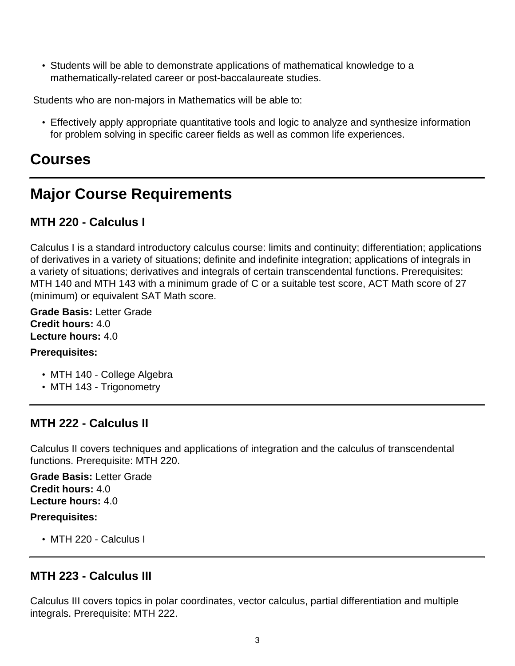• Students will be able to demonstrate applications of mathematical knowledge to a mathematically-related career or post-baccalaureate studies.

Students who are non-majors in Mathematics will be able to:

• Effectively apply appropriate quantitative tools and logic to analyze and synthesize information for problem solving in specific career fields as well as common life experiences.

# <span id="page-2-0"></span>**Courses**

# <span id="page-2-1"></span>**Major Course Requirements**

# <span id="page-2-2"></span>**MTH 220 - Calculus I**

Calculus I is a standard introductory calculus course: limits and continuity; differentiation; applications of derivatives in a variety of situations; definite and indefinite integration; applications of integrals in a variety of situations; derivatives and integrals of certain transcendental functions. Prerequisites: MTH 140 and MTH 143 with a minimum grade of C or a suitable test score, ACT Math score of 27 (minimum) or equivalent SAT Math score.

**Grade Basis:** Letter Grade **Credit hours:** 4.0 **Lecture hours:** 4.0

### **Prerequisites:**

- MTH 140 College Algebra
- MTH 143 Trigonometry

## <span id="page-2-3"></span>**MTH 222 - Calculus II**

Calculus II covers techniques and applications of integration and the calculus of transcendental functions. Prerequisite: MTH 220.

**Grade Basis:** Letter Grade **Credit hours:** 4.0 **Lecture hours:** 4.0

### **Prerequisites:**

• MTH 220 - Calculus I

## <span id="page-2-4"></span>**MTH 223 - Calculus III**

Calculus III covers topics in polar coordinates, vector calculus, partial differentiation and multiple integrals. Prerequisite: MTH 222.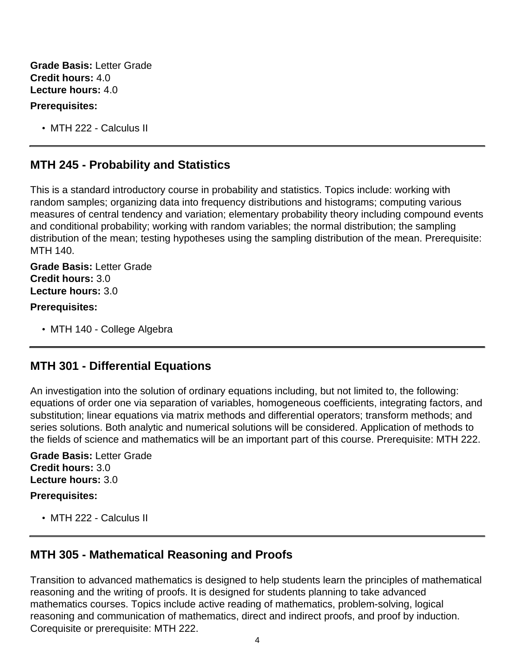**Grade Basis:** Letter Grade **Credit hours:** 4.0 **Lecture hours:** 4.0

#### **Prerequisites:**

• MTH 222 - Calculus II

## <span id="page-3-0"></span>**MTH 245 - Probability and Statistics**

This is a standard introductory course in probability and statistics. Topics include: working with random samples; organizing data into frequency distributions and histograms; computing various measures of central tendency and variation; elementary probability theory including compound events and conditional probability; working with random variables; the normal distribution; the sampling distribution of the mean; testing hypotheses using the sampling distribution of the mean. Prerequisite: MTH 140.

**Grade Basis:** Letter Grade **Credit hours:** 3.0 **Lecture hours:** 3.0

#### **Prerequisites:**

• MTH 140 - College Algebra

## <span id="page-3-1"></span>**MTH 301 - Differential Equations**

An investigation into the solution of ordinary equations including, but not limited to, the following: equations of order one via separation of variables, homogeneous coefficients, integrating factors, and substitution; linear equations via matrix methods and differential operators; transform methods; and series solutions. Both analytic and numerical solutions will be considered. Application of methods to the fields of science and mathematics will be an important part of this course. Prerequisite: MTH 222.

**Grade Basis:** Letter Grade **Credit hours:** 3.0 **Lecture hours:** 3.0

### **Prerequisites:**

• MTH 222 - Calculus II

## <span id="page-3-2"></span>**MTH 305 - Mathematical Reasoning and Proofs**

Transition to advanced mathematics is designed to help students learn the principles of mathematical reasoning and the writing of proofs. It is designed for students planning to take advanced mathematics courses. Topics include active reading of mathematics, problem-solving, logical reasoning and communication of mathematics, direct and indirect proofs, and proof by induction. Corequisite or prerequisite: MTH 222.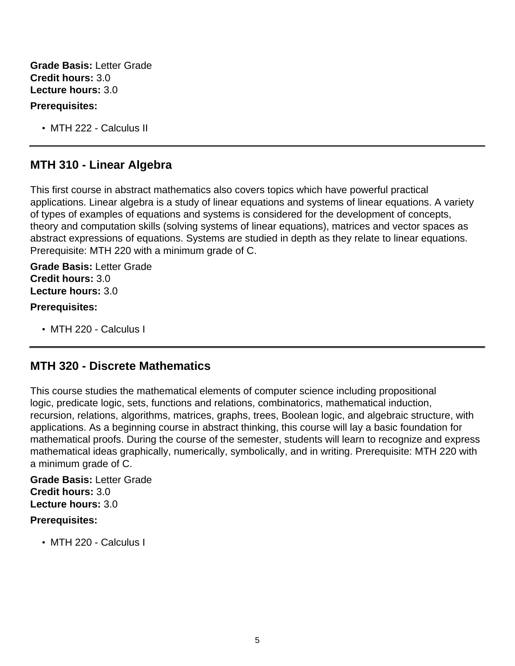**Grade Basis:** Letter Grade **Credit hours:** 3.0 **Lecture hours:** 3.0

### **Prerequisites:**

• MTH 222 - Calculus II

## <span id="page-4-0"></span>**MTH 310 - Linear Algebra**

This first course in abstract mathematics also covers topics which have powerful practical applications. Linear algebra is a study of linear equations and systems of linear equations. A variety of types of examples of equations and systems is considered for the development of concepts, theory and computation skills (solving systems of linear equations), matrices and vector spaces as abstract expressions of equations. Systems are studied in depth as they relate to linear equations. Prerequisite: MTH 220 with a minimum grade of C.

**Grade Basis:** Letter Grade **Credit hours:** 3.0 **Lecture hours:** 3.0

### **Prerequisites:**

• MTH 220 - Calculus I

## <span id="page-4-1"></span>**MTH 320 - Discrete Mathematics**

This course studies the mathematical elements of computer science including propositional logic, predicate logic, sets, functions and relations, combinatorics, mathematical induction, recursion, relations, algorithms, matrices, graphs, trees, Boolean logic, and algebraic structure, with applications. As a beginning course in abstract thinking, this course will lay a basic foundation for mathematical proofs. During the course of the semester, students will learn to recognize and express mathematical ideas graphically, numerically, symbolically, and in writing. Prerequisite: MTH 220 with a minimum grade of C.

**Grade Basis:** Letter Grade **Credit hours:** 3.0 **Lecture hours:** 3.0

### **Prerequisites:**

• MTH 220 - Calculus I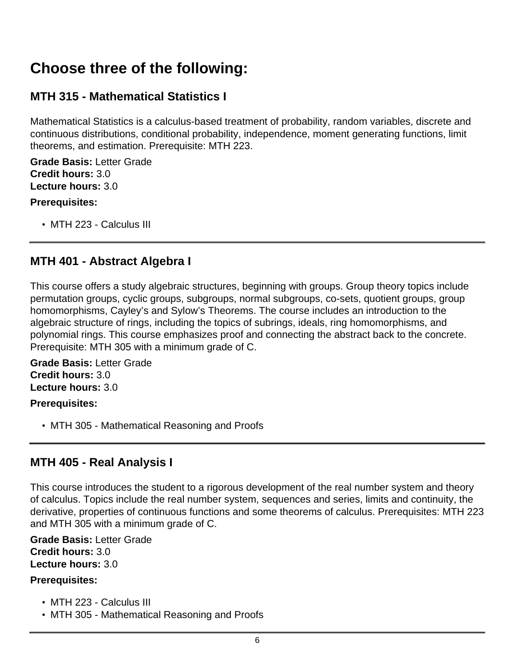# <span id="page-5-0"></span>**Choose three of the following:**

# <span id="page-5-1"></span>**MTH 315 - Mathematical Statistics I**

Mathematical Statistics is a calculus-based treatment of probability, random variables, discrete and continuous distributions, conditional probability, independence, moment generating functions, limit theorems, and estimation. Prerequisite: MTH 223.

**Grade Basis:** Letter Grade **Credit hours:** 3.0 **Lecture hours:** 3.0

### **Prerequisites:**

• MTH 223 - Calculus III

## <span id="page-5-2"></span>**MTH 401 - Abstract Algebra I**

This course offers a study algebraic structures, beginning with groups. Group theory topics include permutation groups, cyclic groups, subgroups, normal subgroups, co-sets, quotient groups, group homomorphisms, Cayley's and Sylow's Theorems. The course includes an introduction to the algebraic structure of rings, including the topics of subrings, ideals, ring homomorphisms, and polynomial rings. This course emphasizes proof and connecting the abstract back to the concrete. Prerequisite: MTH 305 with a minimum grade of C.

**Grade Basis:** Letter Grade **Credit hours:** 3.0 **Lecture hours:** 3.0

### **Prerequisites:**

• MTH 305 - Mathematical Reasoning and Proofs

## <span id="page-5-3"></span>**MTH 405 - Real Analysis I**

This course introduces the student to a rigorous development of the real number system and theory of calculus. Topics include the real number system, sequences and series, limits and continuity, the derivative, properties of continuous functions and some theorems of calculus. Prerequisites: MTH 223 and MTH 305 with a minimum grade of C.

**Grade Basis:** Letter Grade **Credit hours:** 3.0 **Lecture hours:** 3.0

### **Prerequisites:**

- MTH 223 Calculus III
- MTH 305 Mathematical Reasoning and Proofs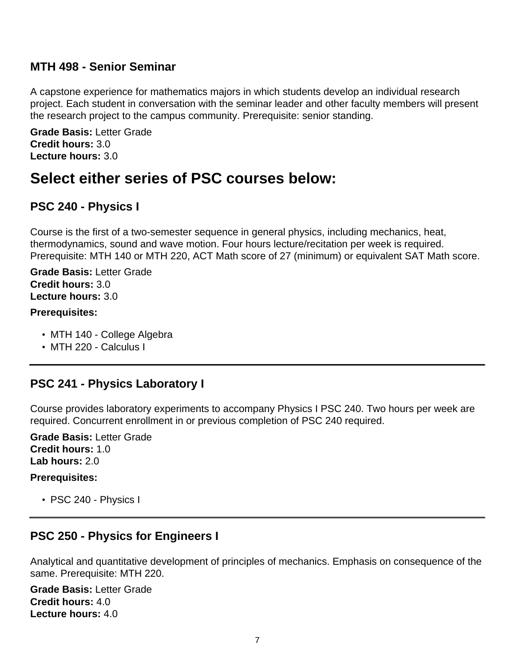## <span id="page-6-0"></span>**MTH 498 - Senior Seminar**

A capstone experience for mathematics majors in which students develop an individual research project. Each student in conversation with the seminar leader and other faculty members will present the research project to the campus community. Prerequisite: senior standing.

**Grade Basis:** Letter Grade **Credit hours:** 3.0 **Lecture hours:** 3.0

# <span id="page-6-1"></span>**Select either series of PSC courses below:**

## <span id="page-6-2"></span>**PSC 240 - Physics I**

Course is the first of a two-semester sequence in general physics, including mechanics, heat, thermodynamics, sound and wave motion. Four hours lecture/recitation per week is required. Prerequisite: MTH 140 or MTH 220, ACT Math score of 27 (minimum) or equivalent SAT Math score.

**Grade Basis:** Letter Grade **Credit hours:** 3.0 **Lecture hours:** 3.0

### **Prerequisites:**

- MTH 140 College Algebra
- MTH 220 Calculus I

## <span id="page-6-3"></span>**PSC 241 - Physics Laboratory I**

Course provides laboratory experiments to accompany Physics I PSC 240. Two hours per week are required. Concurrent enrollment in or previous completion of PSC 240 required.

**Grade Basis:** Letter Grade **Credit hours:** 1.0 **Lab hours:** 2.0

### **Prerequisites:**

• PSC 240 - Physics I

## <span id="page-6-4"></span>**PSC 250 - Physics for Engineers I**

Analytical and quantitative development of principles of mechanics. Emphasis on consequence of the same. Prerequisite: MTH 220.

**Grade Basis:** Letter Grade **Credit hours:** 4.0 **Lecture hours:** 4.0